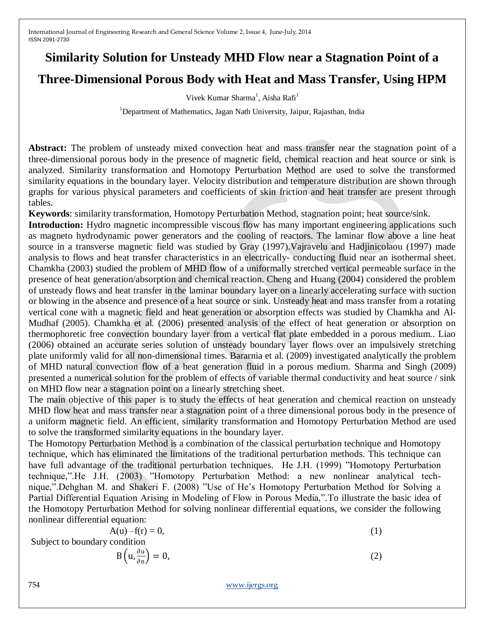## **Similarity Solution for Unsteady MHD Flow near a Stagnation Point of a**

## **Three-Dimensional Porous Body with Heat and Mass Transfer, Using HPM**

Vivek Kumar Sharma<sup>1</sup>, Aisha Rafi<sup>1</sup>

<sup>1</sup>Department of Mathematics, Jagan Nath University, Jaipur, Rajasthan, India

**Abstract:** The problem of unsteady mixed convection heat and mass transfer near the stagnation point of a three-dimensional porous body in the presence of magnetic field, chemical reaction and heat source or sink is analyzed. Similarity transformation and Homotopy Perturbation Method are used to solve the transformed similarity equations in the boundary layer. Velocity distribution and temperature distribution are shown through graphs for various physical parameters and coefficients of skin friction and heat transfer are present through tables.

**Keywords**: similarity transformation, Homotopy Perturbation Method, stagnation point; heat source/sink.

**Introduction:** Hydro magnetic incompressible viscous flow has many important engineering applications such as magneto hydrodynamic power generators and the cooling of reactors. The laminar flow above a line heat source in a transverse magnetic field was studied by Gray (1997).Vajravelu and Hadjinicolaou (1997) made analysis to flows and heat transfer characteristics in an electrically- conducting fluid near an isothermal sheet. Chamkha (2003) studied the problem of MHD flow of a uniformally stretched vertical permeable surface in the presence of heat generation/absorption and chemical reaction. Cheng and Huang (2004) considered the problem of unsteady flows and heat transfer in the laminar boundary layer on a linearly accelerating surface with suction or blowing in the absence and presence of a heat source or sink. Unsteady heat and mass transfer from a rotating vertical cone with a magnetic field and heat generation or absorption effects was studied by Chamkha and Al-Mudhaf (2005). Chamkha et al. (2006) presented analysis of the effect of heat generation or absorption on thermophoretic free convection boundary layer from a vertical flat plate embedded in a porous medium.. Liao (2006) obtained an accurate series solution of unsteady boundary layer flows over an impulsively stretching plate uniformly valid for all non-dimensional times. Bararnia et al. (2009) investigated analytically the problem of MHD natural convection flow of a heat generation fluid in a porous medium. Sharma and Singh (2009) presented a numerical solution for the problem of effects of variable thermal conductivity and heat source / sink on MHD flow near a stagnation point on a linearly stretching sheet.

The main objective of this paper is to study the effects of heat generation and chemical reaction on unsteady MHD flow heat and mass transfer near a stagnation point of a three dimensional porous body in the presence of a uniform magnetic field. An efficient, similarity transformation and Homotopy Perturbation Method are used to solve the transformed similarity equations in the boundary layer.

The Homotopy Perturbation Method is a combination of the classical perturbation technique and Homotopy technique, which has eliminated the limitations of the traditional perturbation methods. This technique can have full advantage of the traditional perturbation techniques. He J.H. (1999) "Homotopy Perturbation technique,".He J.H. (2003) "Homotopy Perturbation Method: a new nonlinear analytical technique,".Dehghan M. and Shakeri F. (2008) "Use of He's Homotopy Perturbation Method for Solving a Partial Differential Equation Arising in Modeling of Flow in Porous Media,".To illustrate the basic idea of the Homotopy Perturbation Method for solving nonlinear differential equations, we consider the following nonlinear differential equation:

$$
A(u) - f(r) = 0,\t\t(1)
$$

Subject to boundary condition

$$
B\left(u, \frac{\partial u}{\partial n}\right) = 0,\tag{2}
$$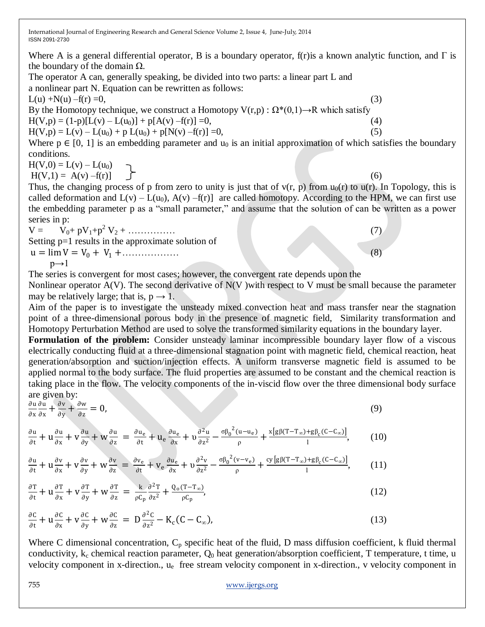Where A is a general differential operator, B is a boundary operator, f(r) is a known analytic function, and  $\Gamma$  is the boundary of the domain  $Ω$ .

The operator A can, generally speaking, be divided into two parts: a linear part L and a nonlinear part N. Equation can be rewritten as follows:

 $L(u) + N(u) - f(r) = 0,$  (3)

By the Homotopy technique, we construct a Homotopy  $V(r,p)$ :  $\Omega^*(0,1) \rightarrow R$  which satisfy

 $H(V,p) = (1-p)[L(v) - L(u_0)] + p[A(v) - f(r)] = 0,$  (4)

 $H(V, p) = L(v) - L(u_0) + p L(u_0) + p[N(v) - f(r)] = 0,$  (5)

Where  $p \in [0, 1]$  is an embedding parameter and  $u_0$  is an initial approximation of which satisfies the boundary conditions.

 $H(V,0) = L(v) - L(u_0)$ 

 $H(V,1) = A(v) - f(r)$  (6)

Thus, the changing process of p from zero to unity is just that of  $v(r, p)$  from  $u_0(r)$  to  $u(r)$ . In Topology, this is called deformation and  $L(v) - L(u_0)$ ,  $A(v) - f(r)$  are called homotopy. According to the HPM, we can first use the embedding parameter p as a "small parameter," and assume that the solution of can be written as a power series in p:

 $V = \dot{V}_0 + pV_1 + p^2 V_2 + \dots$  (7) Setting p=1 results in the approximate solution of  $u = \lim V = V_0 + V_1 + \dots$  (8)  $p\rightarrow 1$ 

The series is convergent for most cases; however, the convergent rate depends upon the

Nonlinear operator  $A(V)$ . The second derivative of  $N(V)$  with respect to V must be small because the parameter may be relatively large; that is,  $p \rightarrow 1$ .

Aim of the paper is to investigate the unsteady mixed convection heat and mass transfer near the stagnation point of a three-dimensional porous body in the presence of magnetic field, Similarity transformation and Homotopy Perturbation Method are used to solve the transformed similarity equations in the boundary layer.

**Formulation of the problem:** Consider unsteady laminar incompressible boundary layer flow of a viscous electrically conducting fluid at a three-dimensional stagnation point with magnetic field, chemical reaction, heat generation/absorption and suction/injection effects. A uniform transverse magnetic field is assumed to be applied normal to the body surface. The fluid properties are assumed to be constant and the chemical reaction is taking place in the flow. The velocity components of the in-viscid flow over the three dimensional body surface are given by:

$$
\frac{\partial u}{\partial x}\frac{\partial u}{\partial x} + \frac{\partial v}{\partial y} + \frac{\partial w}{\partial z} = 0, \tag{9}
$$

$$
\frac{\partial u}{\partial t} + u \frac{\partial u}{\partial x} + v \frac{\partial u}{\partial y} + w \frac{\partial u}{\partial z} = \frac{\partial u_e}{\partial t} + u_e \frac{\partial u_e}{\partial x} + v \frac{\partial^2 u}{\partial z^2} - \frac{\sigma \beta_0^2 (u - u_e)}{\rho} + \frac{x [g \beta (T - T_\infty) + g \beta_c (C - C_\infty)]}{l},\tag{10}
$$

$$
\frac{\partial u}{\partial t} + u \frac{\partial v}{\partial x} + v \frac{\partial v}{\partial y} + w \frac{\partial v}{\partial z} = \frac{\partial v_e}{\partial t} + v_e \frac{\partial u_e}{\partial x} + v \frac{\partial^2 v}{\partial z^2} - \frac{\sigma \beta_0^2 (v - v_e)}{\rho} + \frac{cy [g \beta (T - T_\infty) + g \beta_c (C - C_\infty)]}{l},\tag{11}
$$

$$
\frac{\partial T}{\partial t} + u \frac{\partial T}{\partial x} + v \frac{\partial T}{\partial y} + w \frac{\partial T}{\partial z} = \frac{k}{\rho C_p} \frac{\partial^2 T}{\partial z^2} + \frac{Q_o (T - T_{\infty})}{\rho C_p},
$$
\n(12)

$$
\frac{\partial C}{\partial t} + u \frac{\partial C}{\partial x} + v \frac{\partial C}{\partial y} + w \frac{\partial C}{\partial z} = D \frac{\partial^2 C}{\partial z^2} - K_c (C - C_{\infty}),
$$
\n(13)

Where C dimensional concentration,  $C_p$  specific heat of the fluid, D mass diffusion coefficient, k fluid thermal conductivity,  $k_c$  chemical reaction parameter,  $Q_0$  heat generation/absorption coefficient, T temperature, t time, u velocity component in x-direction., u<sup>e</sup> free stream velocity component in x-direction., v velocity component in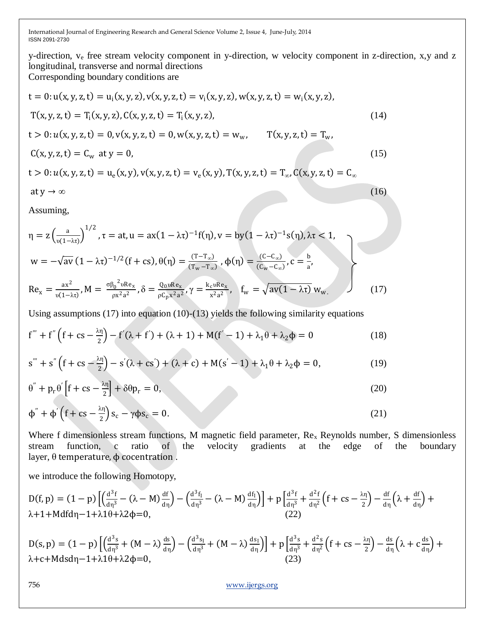y-direction, v<sup>e</sup> free stream velocity component in y-direction, w velocity component in z-direction, x,y and z longitudinal, transverse and normal directions

Corresponding boundary conditions are

$$
t = 0: u(x, y, z, t) = u_i(x, y, z), v(x, y, z, t) = v_i(x, y, z), w(x, y, z, t) = w_i(x, y, z),
$$
  
\n
$$
T(x, y, z, t) = T_i(x, y, z), C(x, y, z, t) = T_i(x, y, z),
$$
  
\n
$$
t > 0: u(x, y, z, t) = 0, v(x, y, z, t) = 0, w(x, y, z, t) = w_w, \qquad T(x, y, z, t) = T_w,
$$
  
\n
$$
C(x, y, z, t) = C_w \text{ at } y = 0,
$$
\n(15)

 $t > 0$ :  $u(x, y, z, t) = u_e(x, y)$ ,  $v(x, y, z, t) = v_e(x, y)$ ,  $T(x, y, z, t) = T_{\infty}$ ,  $C(x, y, z, t) = C_{\infty}$ 

$$
at y \to \infty \tag{16}
$$

Assuming,

$$
\eta = z \left( \frac{a}{v(1-\lambda\tau)} \right)^{1/2}, \tau = at, u = ax(1-\lambda\tau)^{-1} f(\eta), v = by(1-\lambda\tau)^{-1} s(\eta), \lambda\tau < 1,
$$
  
\n
$$
w = -\sqrt{av} (1-\lambda\tau)^{-1/2} (f + cs), \theta(\eta) = \frac{(T-T_{\infty})}{(T_w - T_{\infty})}, \phi(\eta) = \frac{(C-C_{\infty})}{(C_w - C_{\infty})}, c = \frac{b}{a},
$$
  
\n
$$
Re_x = \frac{ax^2}{v(1-\lambda\tau)}, M = \frac{\sigma \beta_0^{2} v Re_x}{\rho x^{2} a^{2}}, \delta = \frac{Q_0 v Re_x}{\rho C_p x^{2} a^{2}}, \gamma = \frac{k_c v Re_x}{x^{2} a^{2}}, \quad f_w = \sqrt{av(1-\lambda\tau)} w_w.
$$
 (17)

Using assumptions (17) into equation (10)-(13) yields the following similarity equations

$$
f''' + f''(f + cs - \frac{\lambda \eta}{2}) - f'(\lambda + f') + (\lambda + 1) + M(f' - 1) + \lambda_1 \theta + \lambda_2 \phi = 0
$$
 (18)

$$
s''' + s'' \left( f + cs - \frac{\lambda \eta}{2} \right) - s'(\lambda + cs') + (\lambda + c) + M(s' - 1) + \lambda_1 \theta + \lambda_2 \phi = 0, \tag{19}
$$

$$
\theta^{\prime\prime} + p_r \theta^{\prime} \left[ f + cs - \frac{\lambda \eta}{2} \right] + \delta \theta p_r = 0, \qquad (20)
$$

$$
\phi'' + \phi' \left( f + cs - \frac{\lambda \eta}{2} \right) s_c - \gamma \phi s_c = 0. \tag{21}
$$

Where f dimensionless stream functions, M magnetic field parameter,  $Re<sub>x</sub>$  Reynolds number, S dimensionless stream function, c ratio of the velocity gradients at the edge of the boundary layer,  $θ$  temperature,  $φ$  cocentration.

we introduce the following Homotopy,

$$
D(f, p) = (1 - p) \left[ \left( \frac{d^3 f}{d\eta^3} - (\lambda - M) \frac{df}{d\eta} \right) - \left( \frac{d^3 f_1}{d\eta^3} - (\lambda - M) \frac{df_1}{d\eta} \right) \right] + p \left[ \frac{d^3 f}{d\eta^3} + \frac{d^2 f}{d\eta^2} \left( f + cs - \frac{\lambda \eta}{2} \right) - \frac{df}{d\eta} \left( \lambda + \frac{df}{d\eta} \right) + \lambda + 1 + Mdfd\eta - 1 + \lambda 10 + \lambda 2\phi = 0,
$$
\n(22)

$$
D(s,p) = (1-p)\left[\left(\frac{d^3s}{d\eta^3} + (M-\lambda)\frac{ds}{d\eta}\right) - \left(\frac{d^3s_I}{d\eta^3} + (M-\lambda)\frac{ds_I}{d\eta}\right)\right] + p\left[\frac{d^3s}{d\eta^3} + \frac{d^2s}{d\eta^2}\left(f + cs - \frac{\lambda\eta}{2}\right) - \frac{ds}{d\eta}\left(\lambda + c\frac{ds}{d\eta}\right) + \lambda + c + Mdsd\eta - 1 + \lambda 10 + \lambda 2\phi = 0,
$$
\n(23)

756 [www.ijergs.org](http://www.ijergs.org/)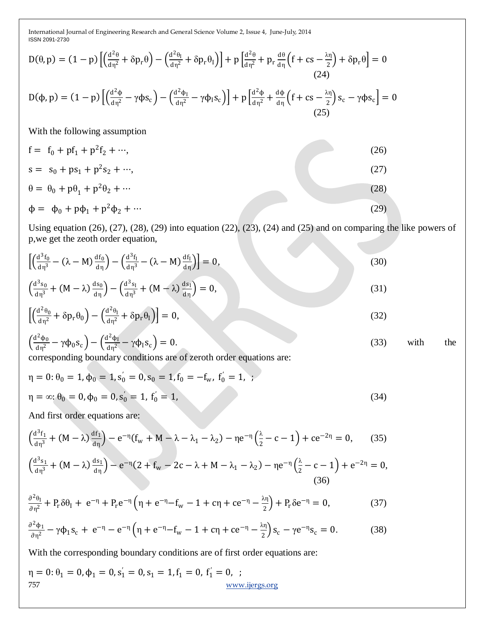$$
D(\theta, p) = (1 - p) \left[ \left( \frac{d^2 \theta}{d \eta^2} + \delta p_r \theta \right) - \left( \frac{d^2 \theta_l}{d \eta^2} + \delta p_r \theta_l \right) \right] + p \left[ \frac{d^2 \theta}{d \eta^2} + p_r \frac{d \theta}{d \eta} \left( f + cs - \frac{\lambda \eta}{2} \right) + \delta p_r \theta \right] = 0
$$
\n(24)\n
$$
D(\phi, p) = (1 - p) \left[ \left( \frac{d^2 \phi}{d \eta^2} - \gamma \phi s_c \right) - \left( \frac{d^2 \phi_l}{d \eta^2} - \gamma \phi_l s_c \right) \right] + p \left[ \frac{d^2 \phi}{d \eta^2} + \frac{d \phi}{d \eta} \left( f + cs - \frac{\lambda \eta}{2} \right) s_c - \gamma \phi s_c \right] = 0
$$
\n(25)\nWith the following assumption\n
$$
f = f_0 + pf_1 + p^2 f_2 + \cdots,
$$
\n(26)

$$
s = s_0 + ps_1 + p^2s_2 + \cdots,
$$
  
\n
$$
\theta = \theta_0 + p\theta_1 + p^2\theta_2 + \cdots
$$
  
\n
$$
\phi = \phi_0 + p\phi_1 + p^2\phi_2 + \cdots
$$
\n(28)  
\n(29)

Using equation (26), (27), (28), (29) into equation (22), (23), (24) and (25) and on comparing the like powers of p,we get the zeoth order equation,

$$
\left[\left(\frac{d^3f_0}{d\eta^3} - (\lambda - M)\frac{df_0}{d\eta}\right) - \left(\frac{d^3f_1}{d\eta^3} - (\lambda - M)\frac{df_1}{d\eta}\right)\right] = 0,
$$
\n
$$
\left(\frac{d^3s_0}{d\eta^3} + (M - \lambda)\frac{ds_0}{d\eta}\right) - \left(\frac{d^3s_1}{d\eta^3} + (M - \lambda)\frac{ds_1}{d\eta}\right) = 0,
$$
\n(31)

$$
\left[\left(\frac{d^2\theta_0}{d\eta^2} + \delta p_r \theta_0\right) - \left(\frac{d^2\theta_1}{d\eta^2} + \delta p_r \theta_1\right)\right] = 0,\tag{32}
$$

$$
\left(\frac{d^2\phi_0}{d\eta^2} - \gamma\phi_0 s_c\right) - \left(\frac{d^2\phi_1}{d\eta^2} - \gamma\phi_1 s_c\right) = 0.
$$
\n(33) with the

corresponding boundary conditions are of zeroth order equations are:

$$
\eta = 0: \theta_0 = 1, \phi_0 = 1, s'_0 = 0, s_0 = 1, f_0 = -f_w, f'_0 = 1,
$$
  

$$
\eta = \infty: \theta_0 = 0, \phi_0 = 0, s'_0 = 1, f'_0 = 1,
$$
 (34)

And first order equations are:

$$
\left(\frac{d^3 f_1}{d\eta^3} + (M - \lambda)\frac{df_1}{d\eta}\right) - e^{-\eta}\left(f_w + M - \lambda - \lambda_1 - \lambda_2\right) - \eta e^{-\eta}\left(\frac{\lambda}{2} - c - 1\right) + ce^{-2\eta} = 0,\tag{35}
$$

$$
\left(\frac{d^3s_1}{d\eta^3} + (M - \lambda)\frac{ds_1}{d\eta}\right) - e^{-\eta}(2 + f_w - 2c - \lambda + M - \lambda_1 - \lambda_2) - \eta e^{-\eta}\left(\frac{\lambda}{2} - c - 1\right) + e^{-2\eta} = 0,
$$
\n(36)

$$
\frac{\partial^2 \theta_I}{\partial \eta^2} + P_r \delta \theta_I + e^{-\eta} + P_r e^{-\eta} \left( \eta + e^{-\eta} - f_w - 1 + c\eta + ce^{-\eta} - \frac{\lambda \eta}{2} \right) + P_r \delta e^{-\eta} = 0, \tag{37}
$$

$$
\frac{\partial^2 \phi_1}{\partial \eta^2} - \gamma \phi_1 s_c + e^{-\eta} - e^{-\eta} \left( \eta + e^{-\eta} - f_w - 1 + c\eta + ce^{-\eta} - \frac{\lambda \eta}{2} \right) s_c - \gamma e^{-\eta} s_c = 0. \tag{38}
$$

With the corresponding boundary conditions are of first order equations are:

$$
\eta = 0: \theta_1 = 0, \phi_1 = 0, s_1 = 0, s_1 = 1, f_1 = 0, f_1' = 0,
$$
  
757  
www.jergs.org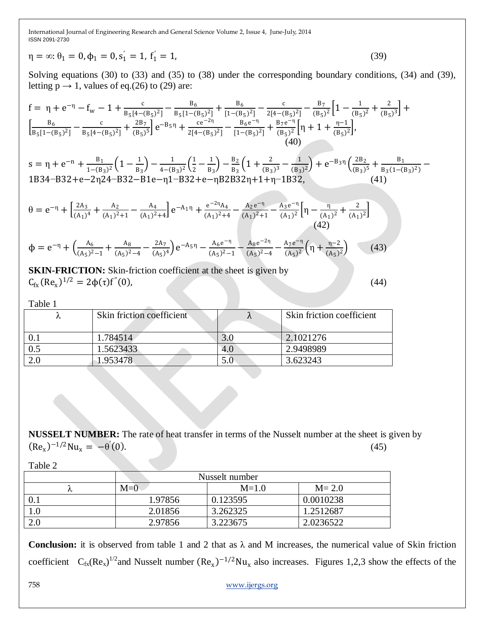$$
\eta = \infty; \theta_1 = 0, \phi_1 = 0, s_1' = 1, f_1' = 1,
$$
\n(39)

Solving equations (30) to (33) and (35) to (38) under the corresponding boundary conditions, (34) and (39), letting  $p \rightarrow 1$ , values of eq.(26) to (29) are:

$$
f = \eta + e^{-\eta} - f_w - 1 + \frac{c}{B_5[a - (B_5)^2]} - \frac{B_6}{B_5[1 - (B_5)^2]} + \frac{B_6}{[1 - (B_5)^2]} - \frac{c}{2[4 - (B_5)^2]} - \frac{B_7}{(B_5)^2} \left[ 1 - \frac{1}{(B_5)^2} + \frac{2}{(B_5)^3} \right] +
$$
  
\n
$$
\left[ \frac{B_6}{B_5[1 - (B_5)^2]} - \frac{c}{B_5[4 - (B_5)^2]} + \frac{2B_7}{(B_5)^5} \right] e^{-B_5\eta} + \frac{ce^{-2\eta}}{2[4 - (B_5)^2]} - \frac{B_6 e^{-\eta}}{[1 - (B_5)^2]} + \frac{B_7 e^{-\eta}}{(B_5)^2} \left[ \eta + 1 + \frac{\eta - 1}{(B_5)^2} \right],
$$
  
\n(40)  
\n
$$
s = \eta + e^{-\eta} + \frac{B_1}{1 - (B_3)^2} \left( 1 - \frac{1}{B_3} \right) - \frac{1}{4 - (B_3)^2} \left( \frac{1}{2} - \frac{1}{B_3} \right) - \frac{B_2}{B_3} \left( 1 + \frac{2}{(B_3)^3} - \frac{1}{(B_3)^2} \right) + e^{-B_3\eta} \left( \frac{2B_2}{(B_3)^5} + \frac{B_1}{B_3(1 - (B_3)^2)} \right)
$$
  
\n1B34-B32+e-2\eta24-B32-B1e-\eta1-B32+e-\etaB2B32\eta+1+\eta-1B32,  
\n(41)  
\n
$$
\theta = e^{-\eta} + \left[ \frac{2A_3}{(A_1)^4} + \frac{A_2}{(A_1)^2+1} - \frac{A_4}{(A_1)^2+4} \right] e^{-A_1\eta} + \frac{e^{-2\eta}A_4}{(A_1)^2+4} - \frac{A_2e^{-\eta}}{(A_1)^2+1} - \frac{A_3e^{-\eta}}{(A_1)^2} \left[ \eta - \frac{\eta}{(A_1)^2} + \frac{2}{(A_1)^2} \right]
$$
  
\n(42)

$$
\Phi = e^{-\eta} + \left(\frac{A_6}{(A_5)^2 - 1} + \frac{A_8}{(A_5)^2 - 4} - \frac{2A_7}{(A_5)^4}\right)e^{-A_5\eta} - \frac{A_6e^{-\eta}}{(A_5)^2 - 1} - \frac{A_8e^{-2\eta}}{(A_5)^2 - 4} - \frac{A_7e^{-\eta}}{(A_5)^2}\left(\eta + \frac{\eta - 2}{(A_5)^2}\right) \tag{43}
$$

**SKIN-FRICTION:** Skin-friction coefficient at the sheet is given by  $C_{\text{fx}}(Re_x)^{1/2} = 2\phi(\tau)f$  $(44)$ 

−

Table 1

|     | Skin friction coefficient |     | Skin friction coefficient |
|-----|---------------------------|-----|---------------------------|
|     |                           |     |                           |
|     | 1.784514                  | J.U | 2.1021276                 |
| 0.5 | 1.5623433                 | 4.0 | 2.9498989                 |
|     | 1.953478.                 | 0.C | 3.623243                  |

**NUSSELT NUMBER:** The rate of heat transfer in terms of the Nusselt number at the sheet is given by  $(Re_x)^{-1/2}Nu_x = -\theta'$  $(0)$ .  $(45)$ 

Table 2

|     | Nusselt number |          |           |  |
|-----|----------------|----------|-----------|--|
|     | $M=0$          | $M=1.0$  | $M = 2.0$ |  |
|     | 1.97856        | 0.123595 | 0.0010238 |  |
| 0.1 | 2.01856        | 3.262325 | 1.2512687 |  |
| 2.0 | 2.97856        | 3.223675 | 2.0236522 |  |

**Conclusion:** it is observed from table 1 and 2 that as  $\lambda$  and M increases, the numerical value of Skin friction coefficient  $C_{fx}(Re_x)^{1/2}$  and Nusselt number  $(Re_x)^{-1/2}Nu_x$  also increases. Figures 1,2,3 show the effects of the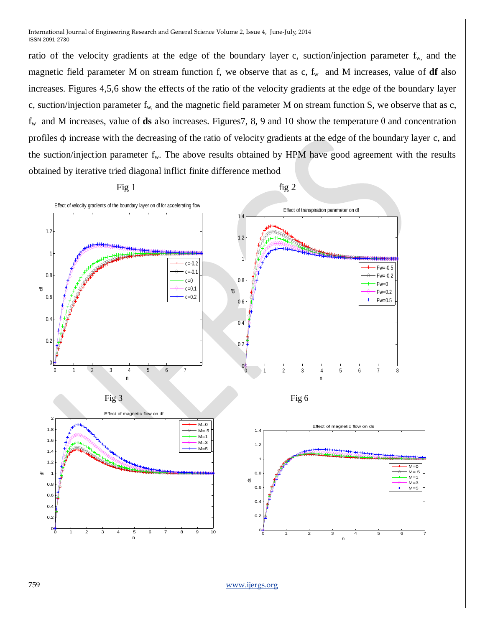ratio of the velocity gradients at the edge of the boundary layer c, suction/injection parameter  $f_{w}$ , and the magnetic field parameter M on stream function f, we observe that as  $c$ ,  $f_w$  and M increases, value of **df** also increases. Figures 4,5,6 show the effects of the ratio of the velocity gradients at the edge of the boundary layer c, suction/injection parameter  $f_{w}$ , and the magnetic field parameter M on stream function S, we observe that as c, f<sup>w</sup> and M increases, value of **ds** also increases. Figures7, 8, 9 and 10 show the temperature θ and concentration profiles ϕ increase with the decreasing of the ratio of velocity gradients at the edge of the boundary layer c, and the suction/injection parameter  $f_w$ . The above results obtained by HPM have good agreement with the results obtained by iterative tried diagonal inflict finite difference method

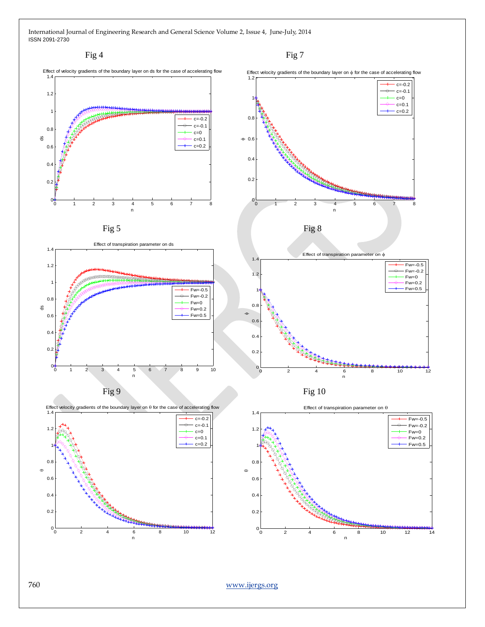